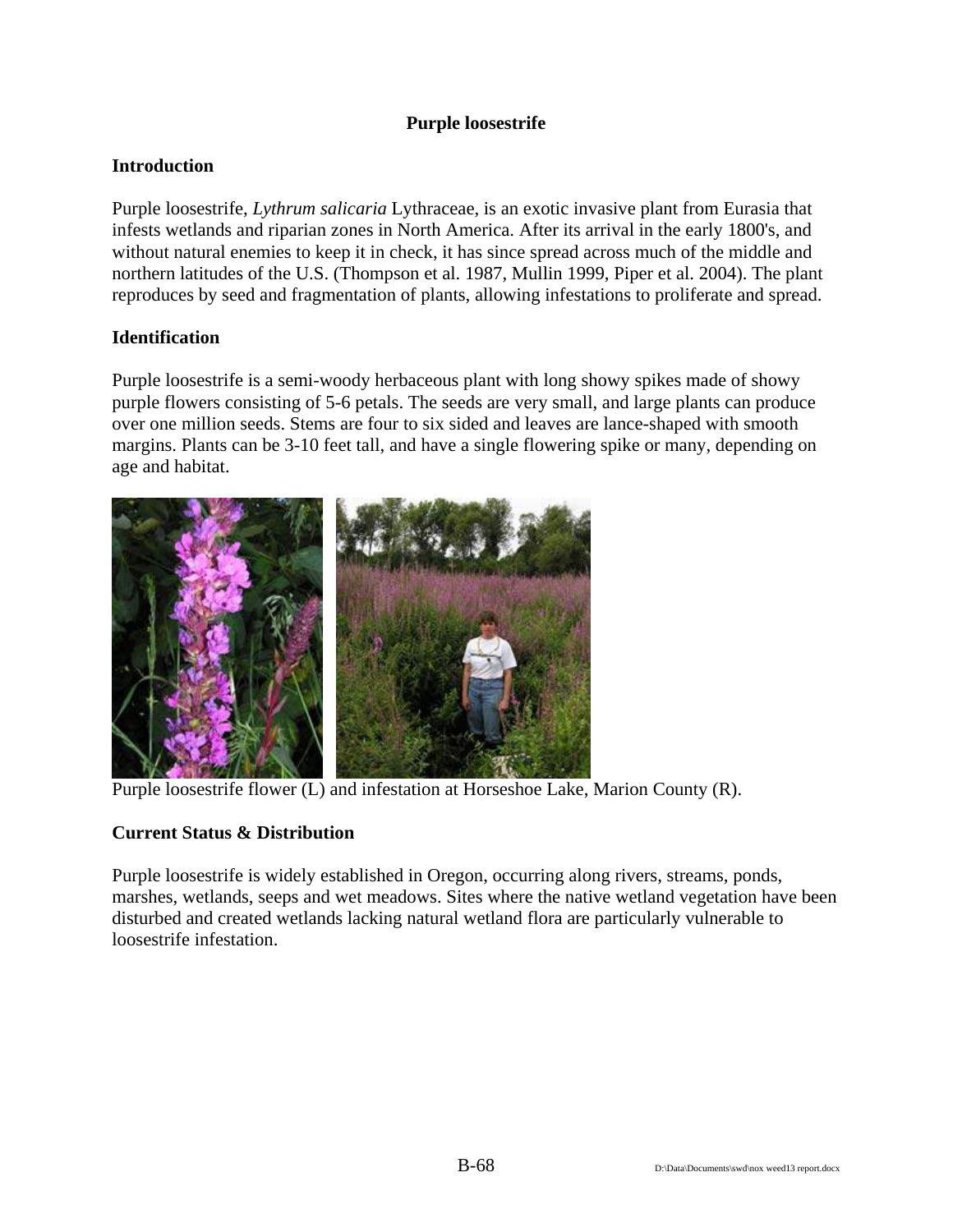## **Purple loosestrife**

# **Introduction**

Purple loosestrife, *Lythrum salicaria* Lythraceae, is an exotic invasive plant from Eurasia that infests wetlands and riparian zones in North America. After its arrival in the early 1800's, and without natural enemies to keep it in check, it has since spread across much of the middle and northern latitudes of the U.S. (Thompson et al. 1987, Mullin 1999, Piper et al. 2004). The plant reproduces by seed and fragmentation of plants, allowing infestations to proliferate and spread.

### **Identification**

Purple loosestrife is a semi-woody herbaceous plant with long showy spikes made of showy purple flowers consisting of 5-6 petals. The seeds are very small, and large plants can produce over one million seeds. Stems are four to six sided and leaves are lance-shaped with smooth margins. Plants can be 3-10 feet tall, and have a single flowering spike or many, depending on age and habitat.



Purple loosestrife flower (L) and infestation at Horseshoe Lake, Marion County (R).

### **Current Status & Distribution**

Purple loosestrife is widely established in Oregon, occurring along rivers, streams, ponds, marshes, wetlands, seeps and wet meadows. Sites where the native wetland vegetation have been disturbed and created wetlands lacking natural wetland flora are particularly vulnerable to loosestrife infestation.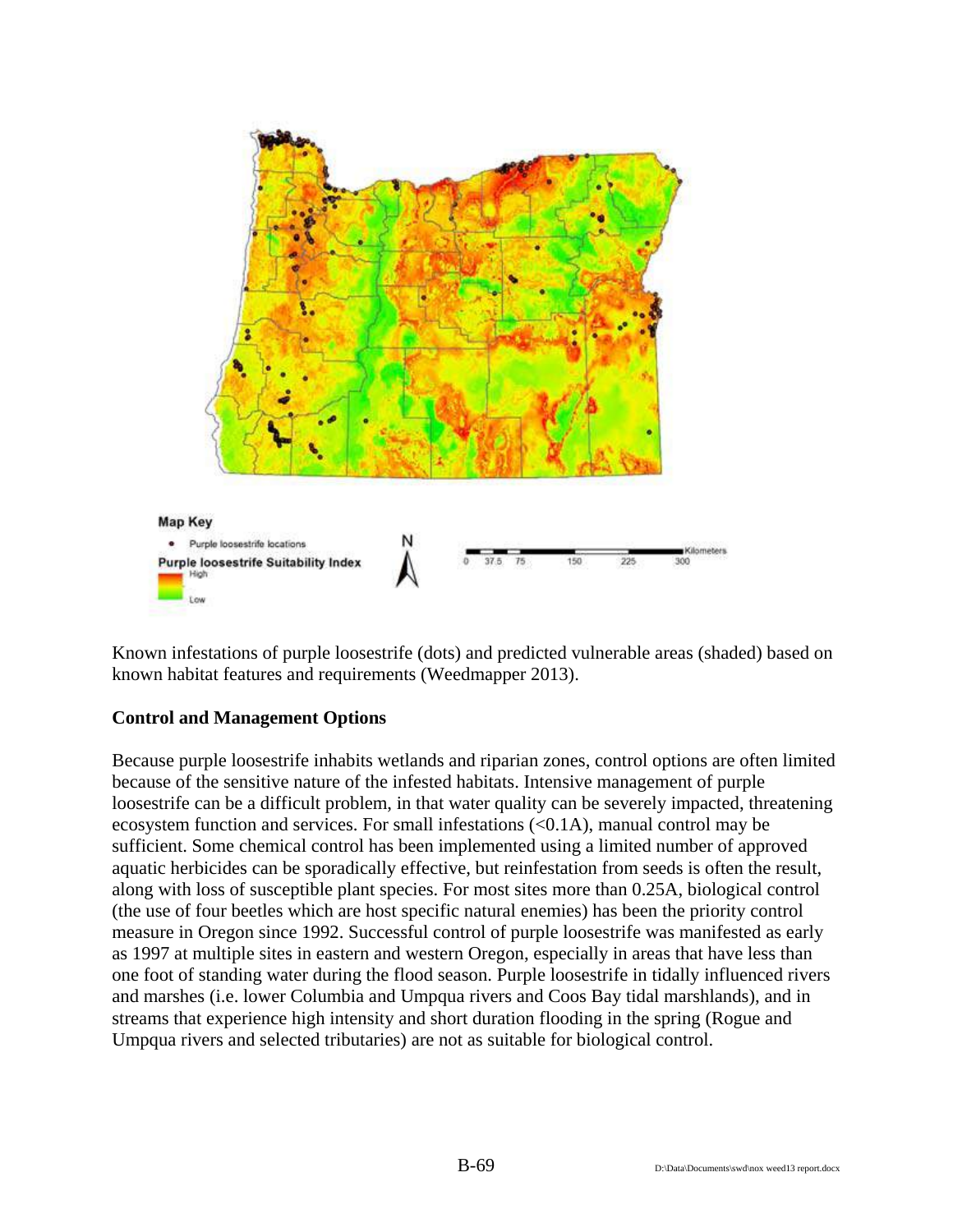

Known infestations of purple loosestrife (dots) and predicted vulnerable areas (shaded) based on known habitat features and requirements (Weedmapper 2013).

#### **Control and Management Options**

Because purple loosestrife inhabits wetlands and riparian zones, control options are often limited because of the sensitive nature of the infested habitats. Intensive management of purple loosestrife can be a difficult problem, in that water quality can be severely impacted, threatening ecosystem function and services. For small infestations (<0.1A), manual control may be sufficient. Some chemical control has been implemented using a limited number of approved aquatic herbicides can be sporadically effective, but reinfestation from seeds is often the result, along with loss of susceptible plant species. For most sites more than 0.25A, biological control (the use of four beetles which are host specific natural enemies) has been the priority control measure in Oregon since 1992. Successful control of purple loosestrife was manifested as early as 1997 at multiple sites in eastern and western Oregon, especially in areas that have less than one foot of standing water during the flood season. Purple loosestrife in tidally influenced rivers and marshes (i.e. lower Columbia and Umpqua rivers and Coos Bay tidal marshlands), and in streams that experience high intensity and short duration flooding in the spring (Rogue and Umpqua rivers and selected tributaries) are not as suitable for biological control.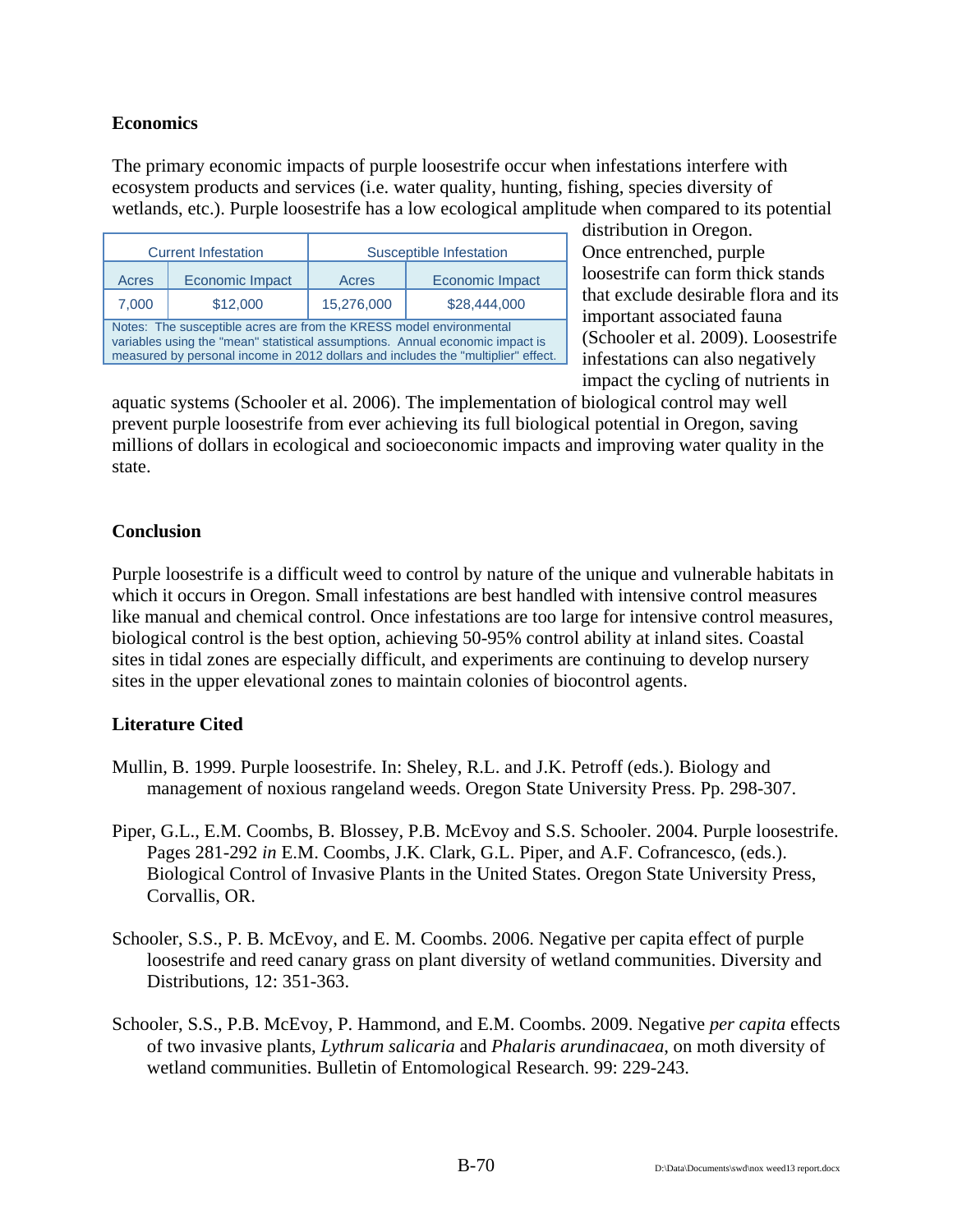### **Economics**

The primary economic impacts of purple loosestrife occur when infestations interfere with ecosystem products and services (i.e. water quality, hunting, fishing, species diversity of wetlands, etc.). Purple loosestrife has a low ecological amplitude when compared to its potential

| <b>Current Infestation</b>                                                                                                                                                                                                                |                        | Susceptible Infestation |                        |
|-------------------------------------------------------------------------------------------------------------------------------------------------------------------------------------------------------------------------------------------|------------------------|-------------------------|------------------------|
| Acres                                                                                                                                                                                                                                     | <b>Economic Impact</b> | Acres                   | <b>Economic Impact</b> |
| 7,000                                                                                                                                                                                                                                     | \$12,000               | 15,276,000              | \$28,444,000           |
| Notes: The susceptible acres are from the KRESS model environmental<br>variables using the "mean" statistical assumptions. Annual economic impact is<br>measured by personal income in 2012 dollars and includes the "multiplier" effect. |                        |                         |                        |

distribution in Oregon. Once entrenched, purple loosestrife can form thick stands that exclude desirable flora and its important associated fauna (Schooler et al. 2009). Loosestrife infestations can also negatively impact the cycling of nutrients in

aquatic systems (Schooler et al. 2006). The implementation of biological control may well prevent purple loosestrife from ever achieving its full biological potential in Oregon, saving millions of dollars in ecological and socioeconomic impacts and improving water quality in the state.

### **Conclusion**

Purple loosestrife is a difficult weed to control by nature of the unique and vulnerable habitats in which it occurs in Oregon. Small infestations are best handled with intensive control measures like manual and chemical control. Once infestations are too large for intensive control measures, biological control is the best option, achieving 50-95% control ability at inland sites. Coastal sites in tidal zones are especially difficult, and experiments are continuing to develop nursery sites in the upper elevational zones to maintain colonies of biocontrol agents.

#### **Literature Cited**

- Mullin, B. 1999. Purple loosestrife. In: Sheley, R.L. and J.K. Petroff (eds.). Biology and management of noxious rangeland weeds. Oregon State University Press. Pp. 298-307.
- Piper, G.L., E.M. Coombs, B. Blossey, P.B. McEvoy and S.S. Schooler. 2004. Purple loosestrife. Pages 281-292 *in* E.M. Coombs, J.K. Clark, G.L. Piper, and A.F. Cofrancesco, (eds.). Biological Control of Invasive Plants in the United States. Oregon State University Press, Corvallis, OR.
- Schooler, S.S., P. B. McEvoy, and E. M. Coombs. 2006. Negative per capita effect of purple loosestrife and reed canary grass on plant diversity of wetland communities. Diversity and Distributions, 12: 351-363.
- Schooler, S.S., P.B. McEvoy, P. Hammond, and E.M. Coombs. 2009. Negative *per capita* effects of two invasive plants, *Lythrum salicaria* and *Phalaris arundinacaea*, on moth diversity of wetland communities. Bulletin of Entomological Research. 99: 229-243.